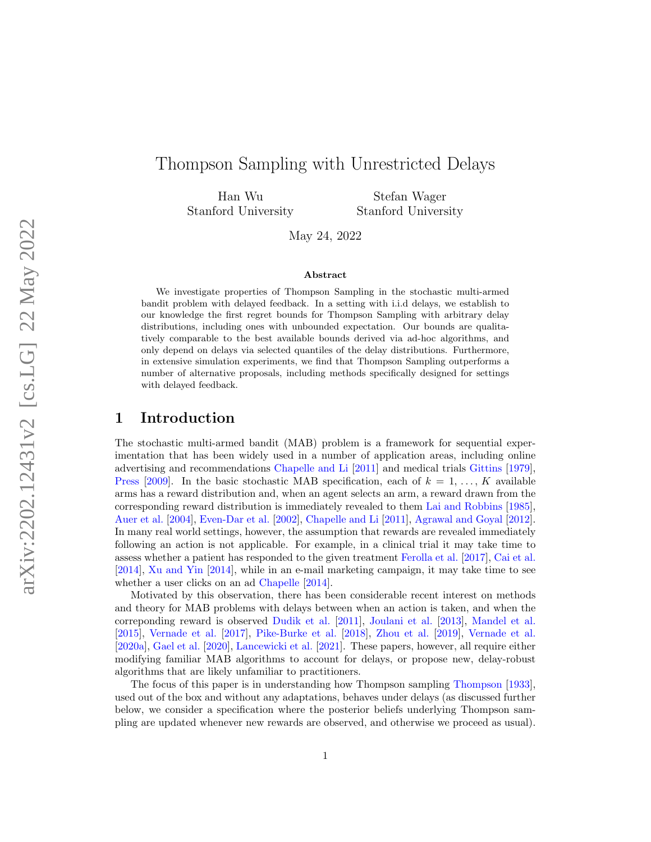# Thompson Sampling with Unrestricted Delays

Han Wu Stanford University

Stefan Wager Stanford University

May 24, 2022

#### Abstract

We investigate properties of Thompson Sampling in the stochastic multi-armed bandit problem with delayed feedback. In a setting with i.i.d delays, we establish to our knowledge the first regret bounds for Thompson Sampling with arbitrary delay distributions, including ones with unbounded expectation. Our bounds are qualitatively comparable to the best available bounds derived via ad-hoc algorithms, and only depend on delays via selected quantiles of the delay distributions. Furthermore, in extensive simulation experiments, we find that Thompson Sampling outperforms a number of alternative proposals, including methods specifically designed for settings with delayed feedback.

### 1 Introduction

The stochastic multi-armed bandit (MAB) problem is a framework for sequential experimentation that has been widely used in a number of application areas, including online advertising and recommendations [Chapelle and Li](#page-15-0) [\[2011\]](#page-15-0) and medical trials [Gittins](#page-15-1) [\[1979\]](#page-15-1), [Press](#page-16-0) [\[2009\]](#page-16-0). In the basic stochastic MAB specification, each of  $k = 1, \ldots, K$  available arms has a reward distribution and, when an agent selects an arm, a reward drawn from the corresponding reward distribution is immediately revealed to them [Lai and Robbins](#page-16-1) [\[1985\]](#page-16-1), [Auer et al.](#page-14-0) [\[2004\]](#page-14-0), [Even-Dar et al.](#page-15-2) [\[2002\]](#page-15-2), [Chapelle and Li](#page-15-0) [\[2011\]](#page-15-0), [Agrawal and Goyal](#page-14-1) [\[2012\]](#page-14-1). In many real world settings, however, the assumption that rewards are revealed immediately following an action is not applicable. For example, in a clinical trial it may take time to assess whether a patient has responded to the given treatment [Ferolla et al.](#page-15-3) [\[2017\]](#page-15-3), [Cai et al.](#page-15-4) [\[2014\]](#page-15-4), [Xu and Yin](#page-17-0) [\[2014\]](#page-17-0), while in an e-mail marketing campaign, it may take time to see whether a user clicks on an ad [Chapelle](#page-15-5) [\[2014\]](#page-15-5).

Motivated by this observation, there has been considerable recent interest on methods and theory for MAB problems with delays between when an action is taken, and when the correponding reward is observed [Dudik et al.](#page-15-6) [\[2011\]](#page-15-6), [Joulani et al.](#page-15-7) [\[2013\]](#page-15-7), [Mandel et al.](#page-16-2) [\[2015\]](#page-16-2), [Vernade et al.](#page-16-3) [\[2017\]](#page-16-3), [Pike-Burke et al.](#page-16-4) [\[2018\]](#page-16-4), [Zhou et al.](#page-17-1) [\[2019\]](#page-17-1), [Vernade et al.](#page-16-5) [\[2020a\]](#page-16-5), [Gael et al.](#page-15-8) [\[2020\]](#page-15-8), [Lancewicki et al.](#page-16-6) [\[2021\]](#page-16-6). These papers, however, all require either modifying familiar MAB algorithms to account for delays, or propose new, delay-robust algorithms that are likely unfamiliar to practitioners.

The focus of this paper is in understanding how Thompson sampling [Thompson](#page-16-7) [\[1933\]](#page-16-7), used out of the box and without any adaptations, behaves under delays (as discussed further below, we consider a specification where the posterior beliefs underlying Thompson sampling are updated whenever new rewards are observed, and otherwise we proceed as usual).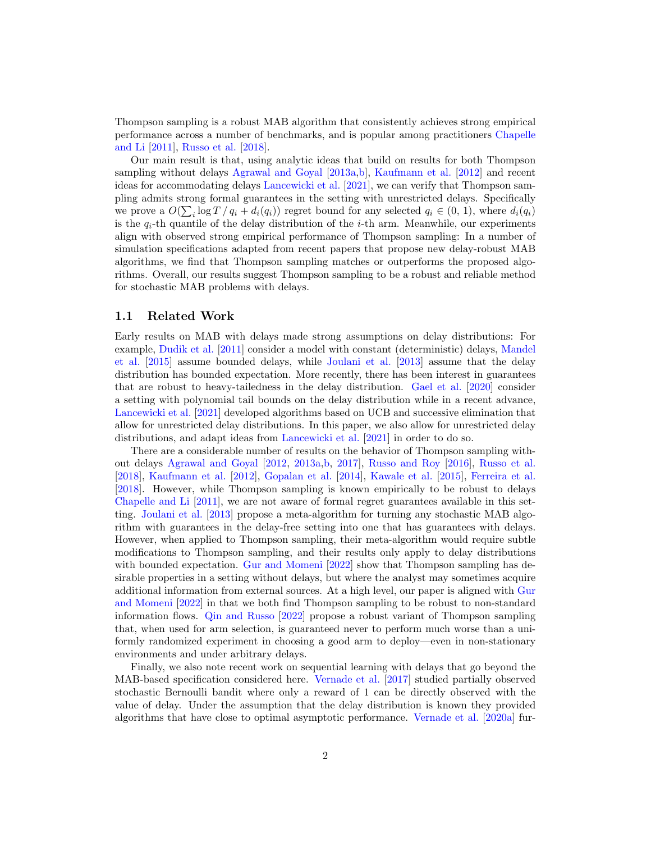Thompson sampling is a robust MAB algorithm that consistently achieves strong empirical performance across a number of benchmarks, and is popular among practitioners [Chapelle](#page-15-0) [and Li](#page-15-0) [\[2011\]](#page-15-0), [Russo et al.](#page-16-8) [\[2018\]](#page-16-8).

Our main result is that, using analytic ideas that build on results for both Thompson sampling without delays [Agrawal and Goyal](#page-14-2) [\[2013a,](#page-14-2)[b\]](#page-14-3), [Kaufmann et al.](#page-16-9) [\[2012\]](#page-16-9) and recent ideas for accommodating delays [Lancewicki et al.](#page-16-6) [\[2021\]](#page-16-6), we can verify that Thompson sampling admits strong formal guarantees in the setting with unrestricted delays. Specifically we prove a  $O(\sum_i \log T / q_i + d_i(q_i))$  regret bound for any selected  $q_i \in (0, 1)$ , where  $d_i(q_i)$ is the  $q_i$ -th quantile of the delay distribution of the *i*-th arm. Meanwhile, our experiments align with observed strong empirical performance of Thompson sampling: In a number of simulation specifications adapted from recent papers that propose new delay-robust MAB algorithms, we find that Thompson sampling matches or outperforms the proposed algorithms. Overall, our results suggest Thompson sampling to be a robust and reliable method for stochastic MAB problems with delays.

#### 1.1 Related Work

Early results on MAB with delays made strong assumptions on delay distributions: For example, [Dudik et al.](#page-15-6) [\[2011\]](#page-15-6) consider a model with constant (deterministic) delays, [Mandel](#page-16-2) [et al.](#page-16-2) [\[2015\]](#page-16-2) assume bounded delays, while [Joulani et al.](#page-15-7) [\[2013\]](#page-15-7) assume that the delay distribution has bounded expectation. More recently, there has been interest in guarantees that are robust to heavy-tailedness in the delay distribution. [Gael et al.](#page-15-8) [\[2020\]](#page-15-8) consider a setting with polynomial tail bounds on the delay distribution while in a recent advance, [Lancewicki et al.](#page-16-6) [\[2021\]](#page-16-6) developed algorithms based on UCB and successive elimination that allow for unrestricted delay distributions. In this paper, we also allow for unrestricted delay distributions, and adapt ideas from [Lancewicki et al.](#page-16-6) [\[2021\]](#page-16-6) in order to do so.

There are a considerable number of results on the behavior of Thompson sampling without delays [Agrawal and Goyal](#page-14-1) [\[2012,](#page-14-1) [2013a,](#page-14-2)[b,](#page-14-3) [2017\]](#page-14-4), [Russo and Roy](#page-16-10) [\[2016\]](#page-16-10), [Russo et al.](#page-16-8) [\[2018\]](#page-16-8), [Kaufmann et al.](#page-16-9) [\[2012\]](#page-16-9), [Gopalan et al.](#page-15-9) [\[2014\]](#page-15-9), [Kawale et al.](#page-16-11) [\[2015\]](#page-16-11), [Ferreira et al.](#page-15-10) [\[2018\]](#page-15-10). However, while Thompson sampling is known empirically to be robust to delays [Chapelle and Li](#page-15-0) [\[2011\]](#page-15-0), we are not aware of formal regret guarantees available in this setting. [Joulani et al.](#page-15-7) [\[2013\]](#page-15-7) propose a meta-algorithm for turning any stochastic MAB algorithm with guarantees in the delay-free setting into one that has guarantees with delays. However, when applied to Thompson sampling, their meta-algorithm would require subtle modifications to Thompson sampling, and their results only apply to delay distributions with bounded expectation. [Gur and Momeni](#page-15-11) [\[2022\]](#page-15-11) show that Thompson sampling has desirable properties in a setting without delays, but where the analyst may sometimes acquire additional information from external sources. At a high level, our paper is aligned with [Gur](#page-15-11) [and Momeni](#page-15-11) [\[2022\]](#page-15-11) in that we both find Thompson sampling to be robust to non-standard information flows. [Qin and Russo](#page-16-12) [\[2022\]](#page-16-12) propose a robust variant of Thompson sampling that, when used for arm selection, is guaranteed never to perform much worse than a uniformly randomized experiment in choosing a good arm to deploy—even in non-stationary environments and under arbitrary delays.

Finally, we also note recent work on sequential learning with delays that go beyond the MAB-based specification considered here. [Vernade et al.](#page-16-3) [\[2017\]](#page-16-3) studied partially observed stochastic Bernoulli bandit where only a reward of 1 can be directly observed with the value of delay. Under the assumption that the delay distribution is known they provided algorithms that have close to optimal asymptotic performance. [Vernade et al.](#page-16-5) [\[2020a\]](#page-16-5) fur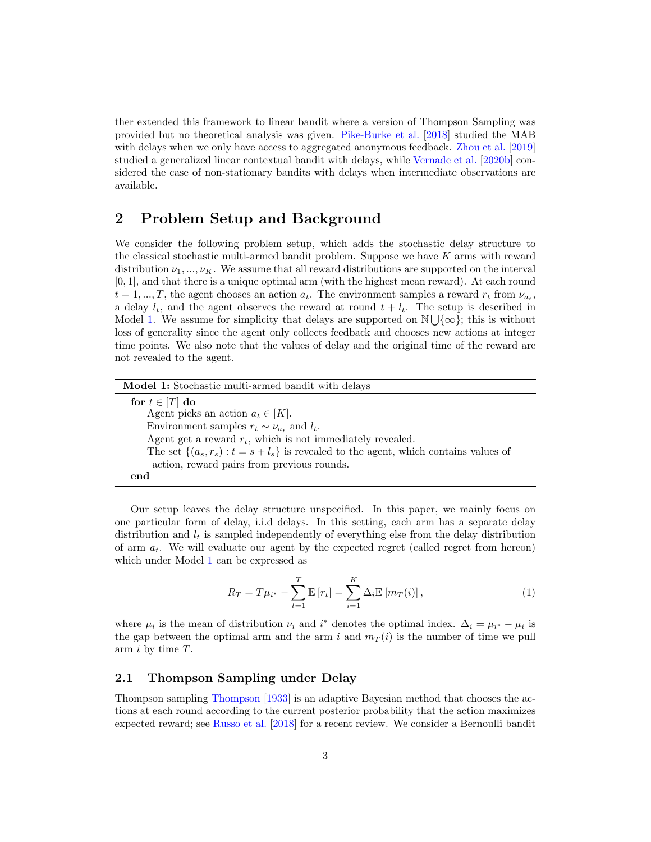ther extended this framework to linear bandit where a version of Thompson Sampling was provided but no theoretical analysis was given. [Pike-Burke et al.](#page-16-4) [\[2018\]](#page-16-4) studied the MAB with delays when we only have access to aggregated anonymous feedback. [Zhou et al.](#page-17-1) [\[2019\]](#page-17-1) studied a generalized linear contextual bandit with delays, while [Vernade et al.](#page-17-2) [\[2020b\]](#page-17-2) considered the case of non-stationary bandits with delays when intermediate observations are available.

## <span id="page-2-2"></span>2 Problem Setup and Background

We consider the following problem setup, which adds the stochastic delay structure to the classical stochastic multi-armed bandit problem. Suppose we have  $K$  arms with reward distribution  $\nu_1, ..., \nu_K$ . We assume that all reward distributions are supported on the interval [0, 1], and that there is a unique optimal arm (with the highest mean reward). At each round  $t = 1, ..., T$ , the agent chooses an action  $a_t$ . The environment samples a reward  $r_t$  from  $\nu_{a_t}$ , a delay  $l_t$ , and the agent observes the reward at round  $t + l_t$ . The setup is described in Model [1.](#page-2-0) We assume for simplicity that delays are supported on  $\mathbb{N}\bigcup\{\infty\}$ ; this is without loss of generality since the agent only collects feedback and chooses new actions at integer time points. We also note that the values of delay and the original time of the reward are not revealed to the agent.

| Model 1: Stochastic multi-armed bandit with delays                                       |
|------------------------------------------------------------------------------------------|
| for $t \in [T]$ do                                                                       |
| Agent picks an action $a_t \in [K]$ .                                                    |
| Environment samples $r_t \sim \nu_{a_t}$ and $l_t$ .                                     |
| Agent get a reward $r_t$ , which is not immediately revealed.                            |
| The set $\{(a_s, r_s): t = s + l_s\}$ is revealed to the agent, which contains values of |
| action, reward pairs from previous rounds.                                               |
| end                                                                                      |

<span id="page-2-0"></span>Our setup leaves the delay structure unspecified. In this paper, we mainly focus on one particular form of delay, i.i.d delays. In this setting, each arm has a separate delay distribution and  $l_t$  is sampled independently of everything else from the delay distribution of arm  $a_t$ . We will evaluate our agent by the expected regret (called regret from hereon) which under Model [1](#page-2-0) can be expressed as

<span id="page-2-1"></span>
$$
R_T = T\mu_{i^*} - \sum_{t=1}^T \mathbb{E}[r_t] = \sum_{i=1}^K \Delta_i \mathbb{E}[m_T(i)],
$$
\n(1)

where  $\mu_i$  is the mean of distribution  $\nu_i$  and  $i^*$  denotes the optimal index.  $\Delta_i = \mu_{i^*} - \mu_i$  is the gap between the optimal arm and the arm i and  $m_T(i)$  is the number of time we pull arm  $i$  by time  $T$ .

#### 2.1 Thompson Sampling under Delay

Thompson sampling [Thompson](#page-16-7) [\[1933\]](#page-16-7) is an adaptive Bayesian method that chooses the actions at each round according to the current posterior probability that the action maximizes expected reward; see [Russo et al.](#page-16-8) [\[2018\]](#page-16-8) for a recent review. We consider a Bernoulli bandit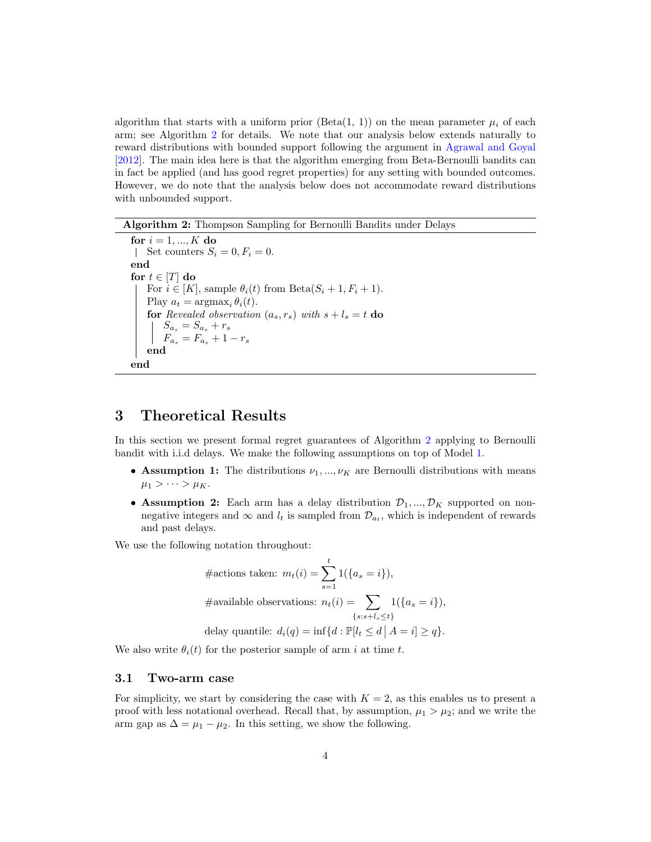algorithm that starts with a uniform prior  $(\text{Beta}(1, 1))$  on the mean parameter  $\mu_i$  of each arm; see Algorithm [2](#page-3-0) for details. We note that our analysis below extends naturally to reward distributions with bounded support following the argument in [Agrawal and Goyal](#page-14-1) [\[2012\]](#page-14-1). The main idea here is that the algorithm emerging from Beta-Bernoulli bandits can in fact be applied (and has good regret properties) for any setting with bounded outcomes. However, we do note that the analysis below does not accommodate reward distributions with unbounded support.

Algorithm 2: Thompson Sampling for Bernoulli Bandits under Delays

```
for i = 1, ..., K do
Set counters S_i = 0, F_i = 0.
end
for t \in [T] do
    For i \in [K], sample \theta_i(t) from Beta(S_i + 1, F_i + 1).
    Play a_t = \operatorname{argmax}_i \theta_i(t).
    for Revealed observation (a_s, r_s) with s + l_s = t do
         S_{a_s} = S_{a_s} + r_sF_{a_s} = F_{a_s} + 1 - r_send
end
```
## <span id="page-3-0"></span>3 Theoretical Results

In this section we present formal regret guarantees of Algorithm [2](#page-3-0) applying to Bernoulli bandit with i.i.d delays. We make the following assumptions on top of Model [1.](#page-2-0)

- Assumption 1: The distributions  $\nu_1, ..., \nu_K$  are Bernoulli distributions with means  $\mu_1 > \cdots > \mu_K.$
- Assumption 2: Each arm has a delay distribution  $\mathcal{D}_1, ..., \mathcal{D}_K$  supported on nonnegative integers and  $\infty$  and  $l_t$  is sampled from  $\mathcal{D}_{a_t}$ , which is independent of rewards and past delays.

We use the following notation throughout:

$$
\# \text{actions taken: } m_t(i) = \sum_{s=1}^t 1(\{a_s = i\}),
$$

$$
\# \text{available observations: } n_t(i) = \sum_{\{s:s+l_s \le t\}} 1(\{a_s = i\}),
$$

$$
\text{delay quantile: } d_i(q) = \inf\{d : \mathbb{P}[l_t \le d \mid A = i] \ge q\}.
$$

We also write  $\theta_i(t)$  for the posterior sample of arm i at time t.

#### 3.1 Two-arm case

For simplicity, we start by considering the case with  $K = 2$ , as this enables us to present a proof with less notational overhead. Recall that, by assumption,  $\mu_1 > \mu_2$ ; and we write the arm gap as  $\Delta = \mu_1 - \mu_2$ . In this setting, we show the following.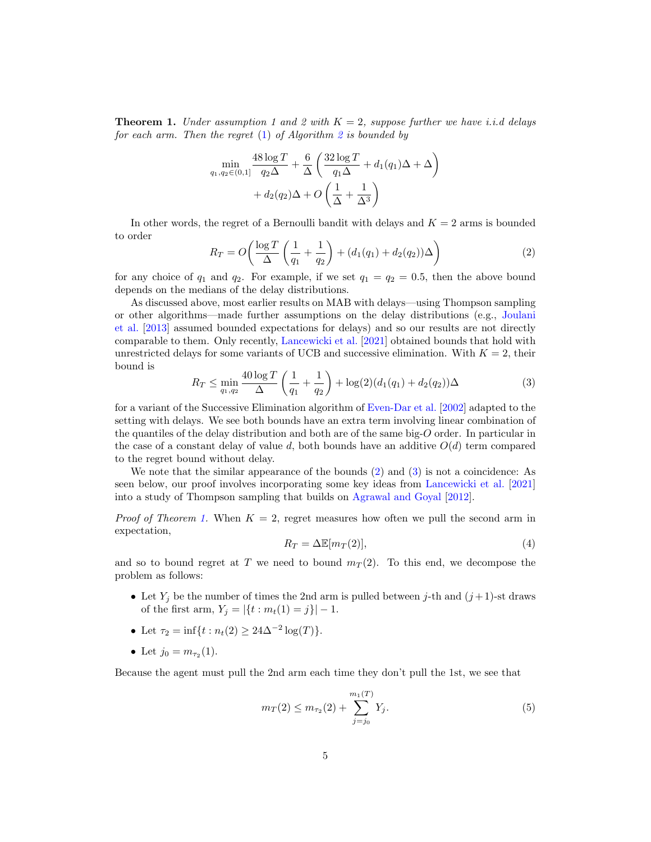<span id="page-4-2"></span>**Theorem 1.** Under assumption 1 and 2 with  $K = 2$ , suppose further we have i.i.d delays for each arm. Then the regret  $(1)$  of Algorithm [2](#page-3-0) is bounded by

$$
\min_{q_1, q_2 \in (0,1]} \frac{48 \log T}{q_2 \Delta} + \frac{6}{\Delta} \left( \frac{32 \log T}{q_1 \Delta} + d_1(q_1) \Delta + \Delta \right) + d_2(q_2) \Delta + O\left(\frac{1}{\Delta} + \frac{1}{\Delta^3}\right)
$$

In other words, the regret of a Bernoulli bandit with delays and  $K = 2$  arms is bounded to order

<span id="page-4-0"></span>
$$
R_T = O\left(\frac{\log T}{\Delta} \left(\frac{1}{q_1} + \frac{1}{q_2}\right) + (d_1(q_1) + d_2(q_2))\Delta\right)
$$
 (2)

for any choice of  $q_1$  and  $q_2$ . For example, if we set  $q_1 = q_2 = 0.5$ , then the above bound depends on the medians of the delay distributions.

As discussed above, most earlier results on MAB with delays—using Thompson sampling or other algorithms—made further assumptions on the delay distributions (e.g., [Joulani](#page-15-7) [et al.](#page-15-7) [\[2013\]](#page-15-7) assumed bounded expectations for delays) and so our results are not directly comparable to them. Only recently, [Lancewicki et al.](#page-16-6) [\[2021\]](#page-16-6) obtained bounds that hold with unrestricted delays for some variants of UCB and successive elimination. With  $K = 2$ , their bound is

<span id="page-4-1"></span>
$$
R_T \le \min_{q_1, q_2} \frac{40 \log T}{\Delta} \left( \frac{1}{q_1} + \frac{1}{q_2} \right) + \log(2)(d_1(q_1) + d_2(q_2))\Delta \tag{3}
$$

for a variant of the Successive Elimination algorithm of [Even-Dar et al.](#page-15-2) [\[2002\]](#page-15-2) adapted to the setting with delays. We see both bounds have an extra term involving linear combination of the quantiles of the delay distribution and both are of the same big-O order. In particular in the case of a constant delay of value d, both bounds have an additive  $O(d)$  term compared to the regret bound without delay.

We note that the similar appearance of the bounds [\(2\)](#page-4-0) and [\(3\)](#page-4-1) is not a coincidence: As seen below, our proof involves incorporating some key ideas from [Lancewicki et al.](#page-16-6) [\[2021\]](#page-16-6) into a study of Thompson sampling that builds on [Agrawal and Goyal](#page-14-1) [\[2012\]](#page-14-1).

*Proof of Theorem [1.](#page-4-2)* When  $K = 2$ , regret measures how often we pull the second arm in expectation,

<span id="page-4-4"></span>
$$
R_T = \Delta \mathbb{E}[m_T(2)],\tag{4}
$$

and so to bound regret at T we need to bound  $m<sub>T</sub>(2)$ . To this end, we decompose the problem as follows:

- Let  $Y_i$  be the number of times the 2nd arm is pulled between j-th and  $(j+1)$ -st draws of the first arm,  $Y_i = |\{t : m_t(1) = j\}| - 1.$
- Let  $\tau_2 = \inf\{t : n_t(2) \geq 24\Delta^{-2} \log(T)\}.$
- Let  $j_0 = m_{\tau_2}(1)$ .

Because the agent must pull the 2nd arm each time they don't pull the 1st, we see that

<span id="page-4-3"></span>
$$
m_T(2) \le m_{\tau_2}(2) + \sum_{j=j_0}^{m_1(T)} Y_j.
$$
\n(5)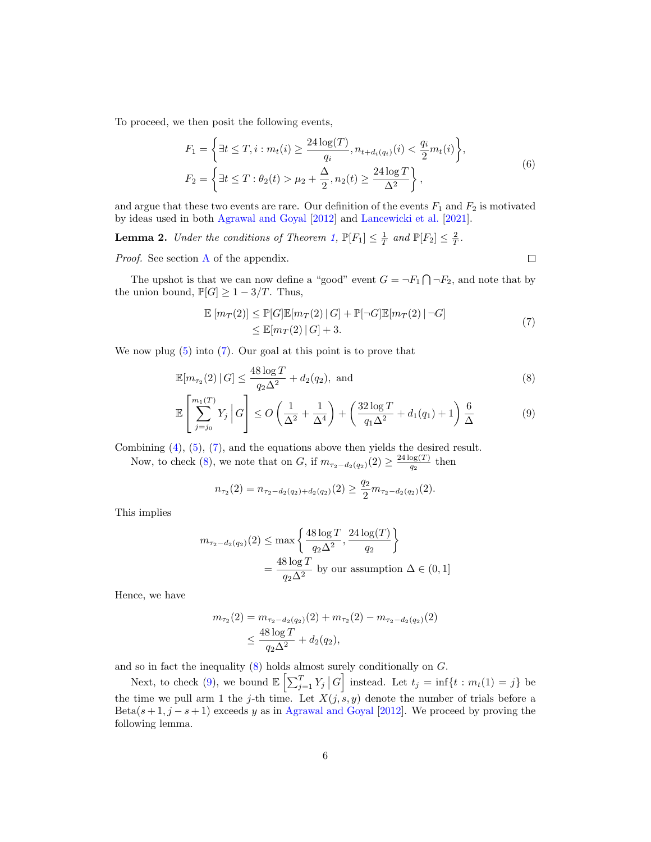To proceed, we then posit the following events,

$$
F_1 = \left\{ \exists t \le T, i : m_t(i) \ge \frac{24 \log(T)}{q_i}, n_{t + d_i(q_i)}(i) < \frac{q_i}{2} m_t(i) \right\},
$$
\n
$$
F_2 = \left\{ \exists t \le T : \theta_2(t) > \mu_2 + \frac{\Delta}{2}, n_2(t) \ge \frac{24 \log T}{\Delta^2} \right\},\tag{6}
$$

and argue that these two events are rare. Our definition of the events  $F_1$  and  $F_2$  is motivated by ideas used in both [Agrawal and Goyal](#page-14-1) [\[2012\]](#page-14-1) and [Lancewicki et al.](#page-16-6) [\[2021\]](#page-16-6).

<span id="page-5-3"></span>**Lemma 2.** Under the conditions of Theorem [1,](#page-4-2)  $\mathbb{P}[F_1] \leq \frac{1}{T}$  and  $\mathbb{P}[F_2] \leq \frac{2}{T}$ .

Proof. See section [A](#page-18-0) of the appendix.

<span id="page-5-2"></span><span id="page-5-1"></span> $\Box$ 

The upshot is that we can now define a "good" event  $G = \neg F_1 \bigcap \neg F_2$ , and note that by the union bound,  $\mathbb{P}[G] \geq 1 - 3/T$ . Thus,

$$
\mathbb{E}\left[m_T(2)\right] \le \mathbb{P}[G]\mathbb{E}[m_T(2) | G] + \mathbb{P}[\neg G]\mathbb{E}[m_T(2) | \neg G] \le \mathbb{E}[m_T(2) | G] + 3.
$$
\n(7)

<span id="page-5-0"></span>We now plug [\(5\)](#page-4-3) into [\(7\)](#page-5-0). Our goal at this point is to prove that

$$
\mathbb{E}[m_{\tau_2}(2) \,|\, G] \le \frac{48 \log T}{q_2 \Delta^2} + d_2(q_2), \text{ and} \tag{8}
$$

$$
\mathbb{E}\left[\sum_{j=j_0}^{m_1(T)} Y_j \, \middle| \, G\right] \le O\left(\frac{1}{\Delta^2} + \frac{1}{\Delta^4}\right) + \left(\frac{32\log T}{q_1\Delta^2} + d_1(q_1) + 1\right)\frac{6}{\Delta} \tag{9}
$$

Combining [\(4\)](#page-4-4), [\(5\)](#page-4-3), [\(7\)](#page-5-0), and the equations above then yields the desired result.

Now, to check [\(8\)](#page-5-1), we note that on G, if  $m_{\tau_2-d_2(q_2)}(2) \geq \frac{24 \log(T)}{q_2}$  $\frac{\log(1)}{q_2}$  then

$$
n_{\tau_2}(2) = n_{\tau_2-d_2(q_2)+d_2(q_2)}(2) \ge \frac{q_2}{2} m_{\tau_2-d_2(q_2)}(2).
$$

This implies

$$
m_{\tau_2 - d_2(q_2)}(2) \le \max\left\{\frac{48\log T}{q_2\Delta^2}, \frac{24\log(T)}{q_2}\right\}
$$

$$
= \frac{48\log T}{q_2\Delta^2} \text{ by our assumption } \Delta \in (0, 1]
$$

Hence, we have

$$
m_{\tau_2}(2) = m_{\tau_2 - d_2(q_2)}(2) + m_{\tau_2}(2) - m_{\tau_2 - d_2(q_2)}(2)
$$
  
 
$$
\leq \frac{48 \log T}{q_2 \Delta^2} + d_2(q_2),
$$

and so in fact the inequality [\(8\)](#page-5-1) holds almost surely conditionally on G.

Next, to check [\(9\)](#page-5-2), we bound  $\mathbb{E}\left[\sum_{j=1}^T Y_j | G\right]$  instead. Let  $t_j = \inf\{t : m_t(1) = j\}$  be the time we pull arm 1 the j-th time. Let  $X(j, s, y)$  denote the number of trials before a Beta( $s+1$ ,  $j-s+1$ ) exceeds y as in [Agrawal and Goyal](#page-14-1) [\[2012\]](#page-14-1). We proceed by proving the following lemma.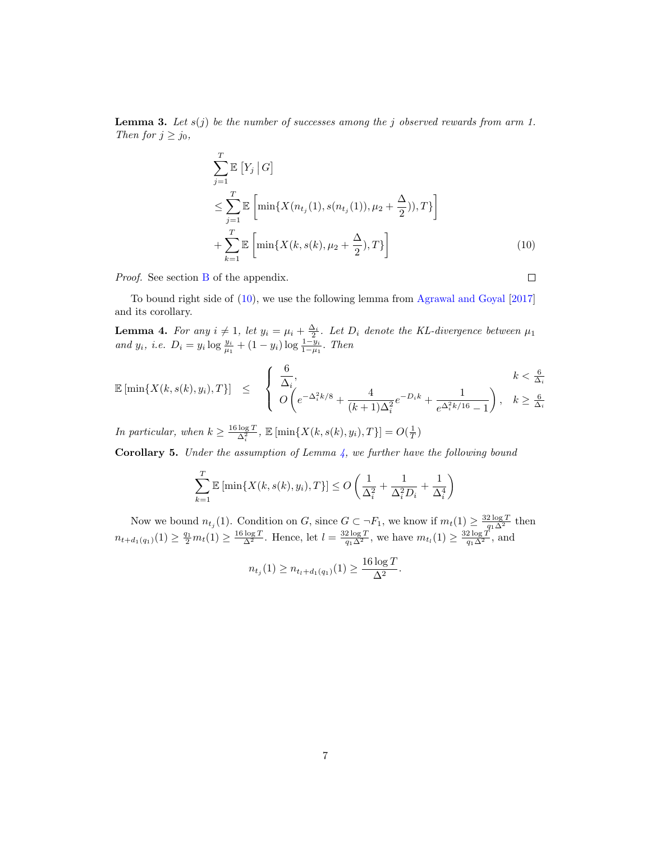<span id="page-6-2"></span>**Lemma 3.** Let  $s(j)$  be the number of successes among the j observed rewards from arm 1. Then for  $j \geq j_0$ ,

$$
\sum_{j=1}^{T} \mathbb{E} [Y_j | G] \n\leq \sum_{j=1}^{T} \mathbb{E} \left[ \min\{X(n_{t_j}(1), s(n_{t_j}(1)), \mu_2 + \frac{\Delta}{2}), T\} \right] \n+ \sum_{k=1}^{T} \mathbb{E} \left[ \min\{X(k, s(k), \mu_2 + \frac{\Delta}{2}), T\} \right]
$$
\n(10)

Proof. See section [B](#page-18-1) of the appendix.

<span id="page-6-0"></span> $\Box$ 

To bound right side of [\(10\)](#page-6-0), we use the following lemma from [Agrawal and Goyal](#page-14-4) [\[2017\]](#page-14-4) and its corollary.

<span id="page-6-1"></span>**Lemma 4.** For any  $i \neq 1$ , let  $y_i = \mu_i + \frac{\Delta_i}{2}$ . Let  $D_i$  denote the KL-divergence between  $\mu_1$ and  $y_i$ , i.e.  $D_i = y_i \log \frac{y_i}{\mu_1} + (1 - y_i) \log \frac{1 - y_i}{1 - \mu_1}$ . Then

$$
\mathbb{E}\left[\min\{X(k,s(k),y_i),T\}\right] \leq \begin{cases} \frac{6}{\Delta_i}, & k < \frac{6}{\Delta_i} \\ O\left(e^{-\Delta_i^2 k/8} + \frac{4}{(k+1)\Delta_i^2}e^{-D_i k} + \frac{1}{e^{\Delta_i^2 k/16} - 1}\right), & k \geq \frac{6}{\Delta_i} \end{cases}
$$

In particular, when  $k \geq \frac{16 \log T}{\Delta_i^2}$ ,  $\mathbb{E} [\min\{X(k, s(k), y_i), T\}] = O(\frac{1}{T})$ 

<span id="page-6-3"></span>**Corollary 5.** Under the assumption of Lemma  $\lambda$ , we further have the following bound

$$
\sum_{k=1}^{T} \mathbb{E}\left[\min\{X(k, s(k), y_i), T\}\right] \le O\left(\frac{1}{\Delta_i^2} + \frac{1}{\Delta_i^2 D_i} + \frac{1}{\Delta_i^4}\right)
$$

Now we bound  $n_{t_j}(1)$ . Condition on G, since  $G \subset \neg F_1$ , we know if  $m_t(1) \geq \frac{32 \log T}{q_1 \Delta^2}$  then  $n_{t+d_1(q_1)}(1) \geq \frac{q_1}{2}m_t(1) \geq \frac{16 \log T}{\Delta^2}$ . Hence, let  $l = \frac{32 \log T}{q_1 \Delta^2}$ , we have  $m_{t_l}(1) \geq \frac{32 \log T}{q_1 \Delta^2}$ , and

$$
n_{t_j}(1) \ge n_{t_l + d_1(q_1)}(1) \ge \frac{16 \log T}{\Delta^2}.
$$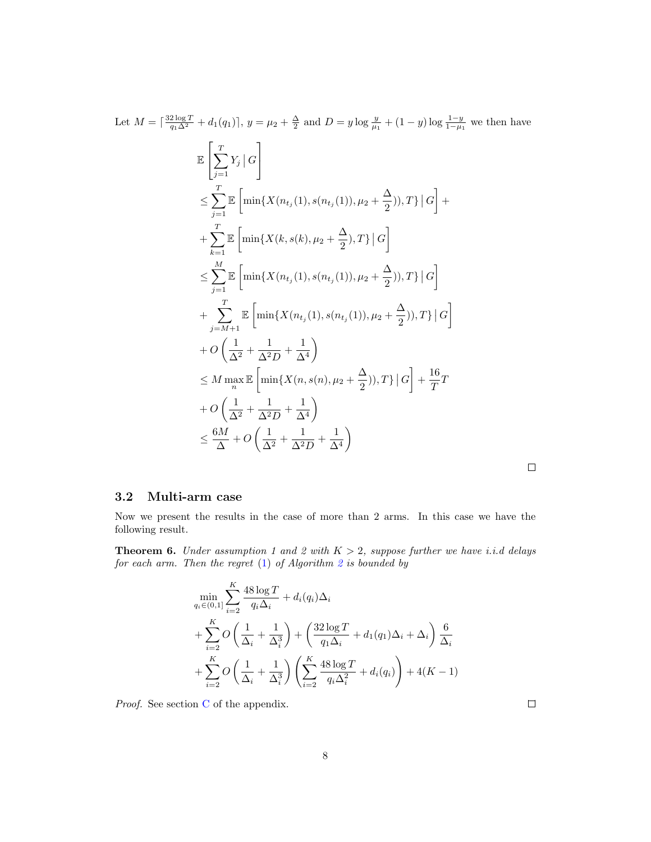Let 
$$
M = \lceil \frac{32 \log T}{q_1 \Delta^2} + d_1(q_1) \rceil
$$
,  $y = \mu_2 + \frac{\Delta}{2}$  and  $D = y \log \frac{y}{\mu_1} + (1 - y) \log \frac{1 - y}{1 - \mu_1}$  we then have  
\n
$$
\mathbb{E} \left[ \sum_{j=1}^T Y_j \rceil G \right]
$$
\n
$$
\leq \sum_{j=1}^T \mathbb{E} \left[ \min \{ X(n_{t_j}(1), s(n_{t_j}(1)), \mu_2 + \frac{\Delta}{2}), T \} \rceil G \right] + \sum_{k=1}^T \mathbb{E} \left[ \min \{ X(k, s(k), \mu_2 + \frac{\Delta}{2}), T \} \rceil G \right]
$$
\n
$$
\leq \sum_{j=1}^M \mathbb{E} \left[ \min \{ X(n_{t_j}(1), s(n_{t_j}(1)), \mu_2 + \frac{\Delta}{2}), T \} \rceil G \right]
$$
\n
$$
+ \sum_{j=M+1}^T \mathbb{E} \left[ \min \{ X(n_{t_j}(1), s(n_{t_j}(1)), \mu_2 + \frac{\Delta}{2}), T \} \rceil G \right]
$$
\n
$$
+ O \left( \frac{1}{\Delta^2} + \frac{1}{\Delta^2 D} + \frac{1}{\Delta^4} \right)
$$
\n
$$
\leq M \max_{n} \mathbb{E} \left[ \min \{ X(n, s(n), \mu_2 + \frac{\Delta}{2}), T \} \rceil G \right] + \frac{16}{T} T
$$
\n
$$
+ O \left( \frac{1}{\Delta^2} + \frac{1}{\Delta^2 D} + \frac{1}{\Delta^4} \right)
$$
\n
$$
\leq \frac{6M}{\Delta} + O \left( \frac{1}{\Delta^2} + \frac{1}{\Delta^2 D} + \frac{1}{\Delta^4} \right)
$$
\n[

 $\Box$ 

#### 3.2 Multi-arm case

Now we present the results in the case of more than 2 arms. In this case we have the following result.

<span id="page-7-0"></span>**Theorem 6.** Under assumption 1 and 2 with  $K > 2$ , suppose further we have i.i.d delays for each arm. Then the regret  $(1)$  of Algorithm [2](#page-3-0) is bounded by

$$
\min_{q_i \in (0,1]} \sum_{i=2}^K \frac{48 \log T}{q_i \Delta_i} + d_i(q_i) \Delta_i
$$
  
+ 
$$
\sum_{i=2}^K O\left(\frac{1}{\Delta_i} + \frac{1}{\Delta_i^3}\right) + \left(\frac{32 \log T}{q_1 \Delta_i} + d_1(q_1) \Delta_i + \Delta_i\right) \frac{6}{\Delta_i}
$$
  
+ 
$$
\sum_{i=2}^K O\left(\frac{1}{\Delta_i} + \frac{1}{\Delta_i^3}\right) \left(\sum_{i=2}^K \frac{48 \log T}{q_i \Delta_i^2} + d_i(q_i)\right) + 4(K - 1)
$$

Proof. See section [C](#page-19-0) of the appendix.

 $\Box$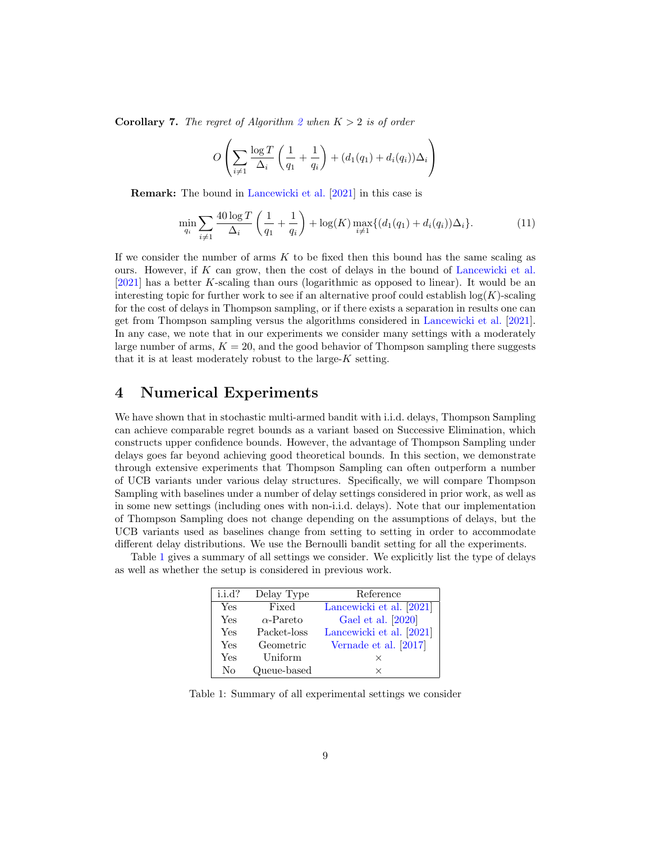**Corollary 7.** The regret of Algorithm [2](#page-3-0) when  $K > 2$  is of order

$$
O\left(\sum_{i\neq 1} \frac{\log T}{\Delta_i} \left(\frac{1}{q_1} + \frac{1}{q_i}\right) + (d_1(q_1) + d_i(q_i))\Delta_i\right)
$$

Remark: The bound in [Lancewicki et al.](#page-16-6) [\[2021\]](#page-16-6) in this case is

$$
\min_{q_i} \sum_{i \neq 1} \frac{40 \log T}{\Delta_i} \left( \frac{1}{q_1} + \frac{1}{q_i} \right) + \log(K) \max_{i \neq 1} \{ (d_1(q_1) + d_i(q_i)) \Delta_i \}. \tag{11}
$$

If we consider the number of arms  $K$  to be fixed then this bound has the same scaling as ours. However, if K can grow, then the cost of delays in the bound of [Lancewicki et al.](#page-16-6) [\[2021\]](#page-16-6) has a better K-scaling than ours (logarithmic as opposed to linear). It would be an interesting topic for further work to see if an alternative proof could establish  $log(K)$ -scaling for the cost of delays in Thompson sampling, or if there exists a separation in results one can get from Thompson sampling versus the algorithms considered in [Lancewicki et al.](#page-16-6) [\[2021\]](#page-16-6). In any case, we note that in our experiments we consider many settings with a moderately large number of arms,  $K = 20$ , and the good behavior of Thompson sampling there suggests that it is at least moderately robust to the large- $K$  setting.

## 4 Numerical Experiments

We have shown that in stochastic multi-armed bandit with i.i.d. delays, Thompson Sampling can achieve comparable regret bounds as a variant based on Successive Elimination, which constructs upper confidence bounds. However, the advantage of Thompson Sampling under delays goes far beyond achieving good theoretical bounds. In this section, we demonstrate through extensive experiments that Thompson Sampling can often outperform a number of UCB variants under various delay structures. Specifically, we will compare Thompson Sampling with baselines under a number of delay settings considered in prior work, as well as in some new settings (including ones with non-i.i.d. delays). Note that our implementation of Thompson Sampling does not change depending on the assumptions of delays, but the UCB variants used as baselines change from setting to setting in order to accommodate different delay distributions. We use the Bernoulli bandit setting for all the experiments.

<span id="page-8-0"></span>Table [1](#page-8-0) gives a summary of all settings we consider. We explicitly list the type of delays as well as whether the setup is considered in previous work.

| i.i.d? | Delay Type       | Reference                |
|--------|------------------|--------------------------|
| Yes    | Fixed            | Lancewicki et al. [2021] |
| Yes    | $\alpha$ -Pareto | Gael et al. [2020]       |
| Yes    | Packet-loss      | Lancewicki et al. [2021] |
| Yes    | Geometric        | Vernade et al. [2017]    |
| Yes    | Uniform          | ×                        |
| No     | Queue-based      | ×                        |

Table 1: Summary of all experimental settings we consider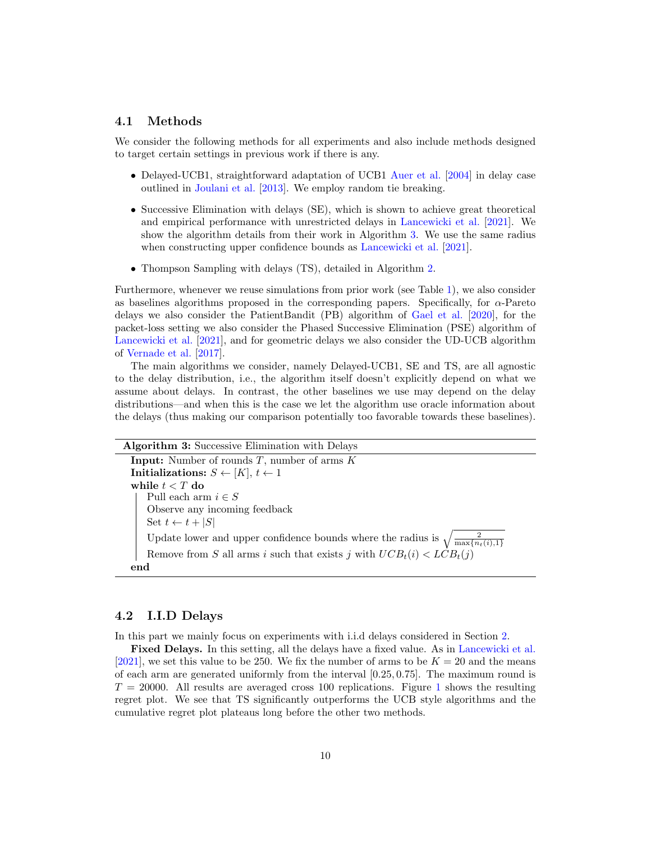#### 4.1 Methods

We consider the following methods for all experiments and also include methods designed to target certain settings in previous work if there is any.

- Delayed-UCB1, straightforward adaptation of UCB1 [Auer et al.](#page-14-0) [\[2004\]](#page-14-0) in delay case outlined in [Joulani et al.](#page-15-7) [\[2013\]](#page-15-7). We employ random tie breaking.
- Successive Elimination with delays (SE), which is shown to achieve great theoretical and empirical performance with unrestricted delays in [Lancewicki et al.](#page-16-6) [\[2021\]](#page-16-6). We show the algorithm details from their work in Algorithm [3.](#page-9-0) We use the same radius when constructing upper confidence bounds as [Lancewicki et al.](#page-16-6) [\[2021\]](#page-16-6).
- Thompson Sampling with delays (TS), detailed in Algorithm [2.](#page-3-0)

Furthermore, whenever we reuse simulations from prior work (see Table [1\)](#page-8-0), we also consider as baselines algorithms proposed in the corresponding papers. Specifically, for  $\alpha$ -Pareto delays we also consider the PatientBandit (PB) algorithm of [Gael et al.](#page-15-8) [\[2020\]](#page-15-8), for the packet-loss setting we also consider the Phased Successive Elimination (PSE) algorithm of [Lancewicki et al.](#page-16-6) [\[2021\]](#page-16-6), and for geometric delays we also consider the UD-UCB algorithm of [Vernade et al.](#page-16-3) [\[2017\]](#page-16-3).

The main algorithms we consider, namely Delayed-UCB1, SE and TS, are all agnostic to the delay distribution, i.e., the algorithm itself doesn't explicitly depend on what we assume about delays. In contrast, the other baselines we use may depend on the delay distributions—and when this is the case we let the algorithm use oracle information about the delays (thus making our comparison potentially too favorable towards these baselines).

| <b>Algorithm 3:</b> Successive Elimination with Delays                                           |
|--------------------------------------------------------------------------------------------------|
| <b>Input:</b> Number of rounds $T$ , number of arms $K$                                          |
| Initializations: $S \leftarrow [K], t \leftarrow 1$                                              |
| while $t < T$ do                                                                                 |
| Pull each arm $i \in S$                                                                          |
| Observe any incoming feedback                                                                    |
| Set $t \leftarrow t +  S $                                                                       |
| Update lower and upper confidence bounds where the radius is $\sqrt{\frac{2}{\max\{n_t(i),1\}}}$ |
| Remove from S all arms i such that exists j with $UCB_t(i) < LCB_t(j)$                           |
| end                                                                                              |

#### <span id="page-9-0"></span>4.2 I.I.D Delays

In this part we mainly focus on experiments with i.i.d delays considered in Section [2.](#page-2-2)

Fixed Delays. In this setting, all the delays have a fixed value. As in [Lancewicki et al.](#page-16-6) [\[2021\]](#page-16-6), we set this value to be 250. We fix the number of arms to be  $K = 20$  and the means of each arm are generated uniformly from the interval [0.25, 0.75]. The maximum round is  $T = 20000$ . All results are averaged cross [1](#page-10-0)00 replications. Figure 1 shows the resulting regret plot. We see that TS significantly outperforms the UCB style algorithms and the cumulative regret plot plateaus long before the other two methods.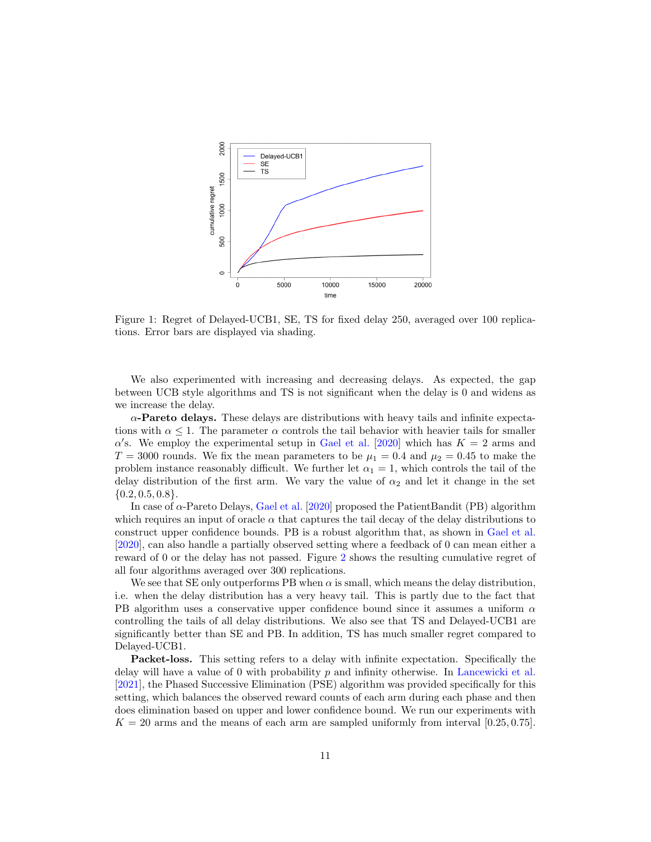<span id="page-10-0"></span>

Figure 1: Regret of Delayed-UCB1, SE, TS for fixed delay 250, averaged over 100 replications. Error bars are displayed via shading.

We also experimented with increasing and decreasing delays. As expected, the gap between UCB style algorithms and TS is not significant when the delay is 0 and widens as we increase the delay.

 $\alpha$ -Pareto delays. These delays are distributions with heavy tails and infinite expectations with  $\alpha \leq 1$ . The parameter  $\alpha$  controls the tail behavior with heavier tails for smaller  $\alpha$ 's. We employ the experimental setup in [Gael et al.](#page-15-8) [\[2020\]](#page-15-8) which has  $K = 2$  arms and  $T = 3000$  rounds. We fix the mean parameters to be  $\mu_1 = 0.4$  and  $\mu_2 = 0.45$  to make the problem instance reasonably difficult. We further let  $\alpha_1 = 1$ , which controls the tail of the delay distribution of the first arm. We vary the value of  $\alpha_2$  and let it change in the set  $\{0.2, 0.5, 0.8\}.$ 

In case of  $\alpha$ -Pareto Delays, [Gael et al.](#page-15-8) [\[2020\]](#page-15-8) proposed the PatientBandit (PB) algorithm which requires an input of oracle  $\alpha$  that captures the tail decay of the delay distributions to construct upper confidence bounds. PB is a robust algorithm that, as shown in [Gael et al.](#page-15-8) [\[2020\]](#page-15-8), can also handle a partially observed setting where a feedback of 0 can mean either a reward of 0 or the delay has not passed. Figure [2](#page-11-0) shows the resulting cumulative regret of all four algorithms averaged over 300 replications.

We see that SE only outperforms PB when  $\alpha$  is small, which means the delay distribution, i.e. when the delay distribution has a very heavy tail. This is partly due to the fact that PB algorithm uses a conservative upper confidence bound since it assumes a uniform  $\alpha$ controlling the tails of all delay distributions. We also see that TS and Delayed-UCB1 are significantly better than SE and PB. In addition, TS has much smaller regret compared to Delayed-UCB1.

Packet-loss. This setting refers to a delay with infinite expectation. Specifically the delay will have a value of 0 with probability p and infinity otherwise. In [Lancewicki et al.](#page-16-6) [\[2021\]](#page-16-6), the Phased Successive Elimination (PSE) algorithm was provided specifically for this setting, which balances the observed reward counts of each arm during each phase and then does elimination based on upper and lower confidence bound. We run our experiments with  $K = 20$  arms and the means of each arm are sampled uniformly from interval [0.25, 0.75].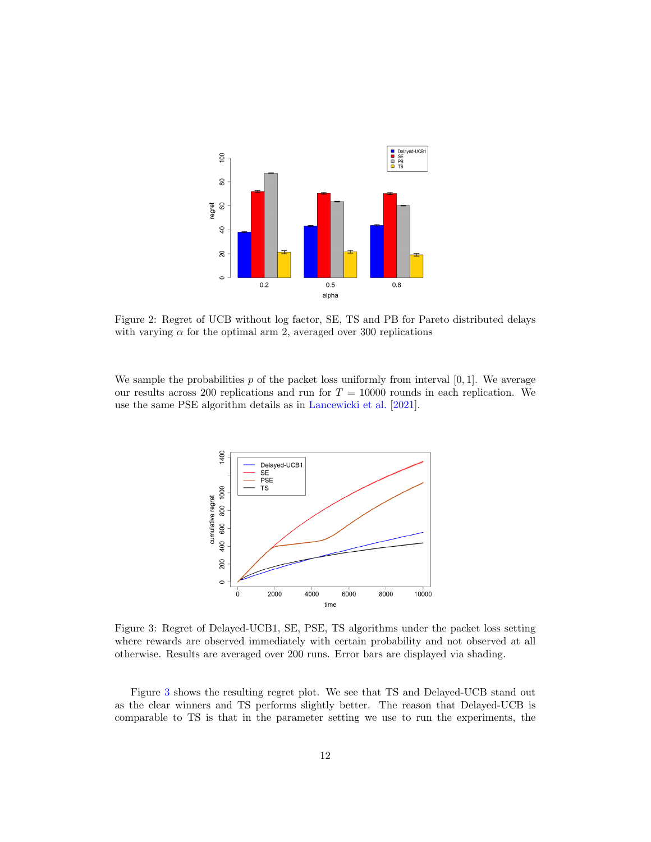<span id="page-11-0"></span>

Figure 2: Regret of UCB without log factor, SE, TS and PB for Pareto distributed delays with varying  $\alpha$  for the optimal arm 2, averaged over 300 replications

<span id="page-11-1"></span>We sample the probabilities  $p$  of the packet loss uniformly from interval [0,1]. We average our results across 200 replications and run for  $T = 10000$  rounds in each replication. We use the same PSE algorithm details as in [Lancewicki et al.](#page-16-6) [\[2021\]](#page-16-6).



Figure 3: Regret of Delayed-UCB1, SE, PSE, TS algorithms under the packet loss setting where rewards are observed immediately with certain probability and not observed at all otherwise. Results are averaged over 200 runs. Error bars are displayed via shading.

Figure [3](#page-11-1) shows the resulting regret plot. We see that TS and Delayed-UCB stand out as the clear winners and TS performs slightly better. The reason that Delayed-UCB is comparable to TS is that in the parameter setting we use to run the experiments, the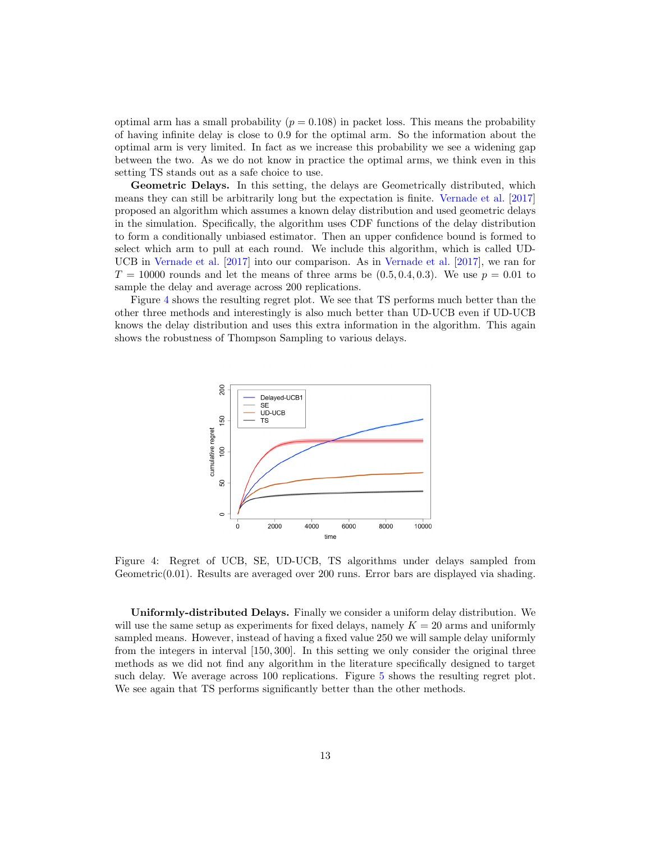optimal arm has a small probability ( $p = 0.108$ ) in packet loss. This means the probability of having infinite delay is close to 0.9 for the optimal arm. So the information about the optimal arm is very limited. In fact as we increase this probability we see a widening gap between the two. As we do not know in practice the optimal arms, we think even in this setting TS stands out as a safe choice to use.

Geometric Delays. In this setting, the delays are Geometrically distributed, which means they can still be arbitrarily long but the expectation is finite. [Vernade et al.](#page-16-3) [\[2017\]](#page-16-3) proposed an algorithm which assumes a known delay distribution and used geometric delays in the simulation. Specifically, the algorithm uses CDF functions of the delay distribution to form a conditionally unbiased estimator. Then an upper confidence bound is formed to select which arm to pull at each round. We include this algorithm, which is called UD-UCB in [Vernade et al.](#page-16-3) [\[2017\]](#page-16-3) into our comparison. As in [Vernade et al.](#page-16-3) [\[2017\]](#page-16-3), we ran for  $T = 10000$  rounds and let the means of three arms be  $(0.5, 0.4, 0.3)$ . We use  $p = 0.01$  to sample the delay and average across 200 replications.

<span id="page-12-0"></span>Figure [4](#page-12-0) shows the resulting regret plot. We see that TS performs much better than the other three methods and interestingly is also much better than UD-UCB even if UD-UCB knows the delay distribution and uses this extra information in the algorithm. This again shows the robustness of Thompson Sampling to various delays.



Figure 4: Regret of UCB, SE, UD-UCB, TS algorithms under delays sampled from Geometric(0.01). Results are averaged over 200 runs. Error bars are displayed via shading.

Uniformly-distributed Delays. Finally we consider a uniform delay distribution. We will use the same setup as experiments for fixed delays, namely  $K = 20$  arms and uniformly sampled means. However, instead of having a fixed value 250 we will sample delay uniformly from the integers in interval [150, 300]. In this setting we only consider the original three methods as we did not find any algorithm in the literature specifically designed to target such delay. We average across 100 replications. Figure [5](#page-13-0) shows the resulting regret plot. We see again that TS performs significantly better than the other methods.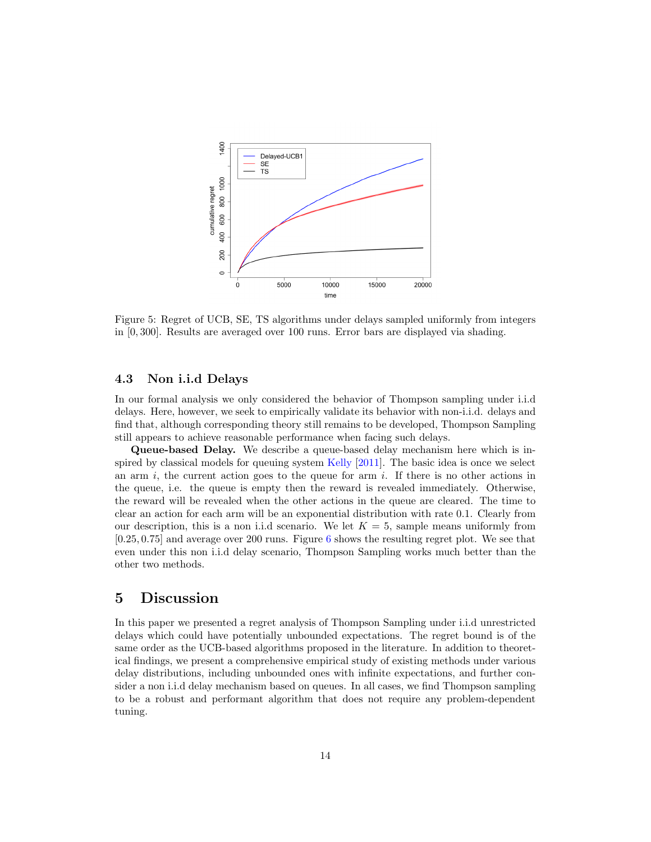<span id="page-13-0"></span>

Figure 5: Regret of UCB, SE, TS algorithms under delays sampled uniformly from integers in [0, 300]. Results are averaged over 100 runs. Error bars are displayed via shading.

#### <span id="page-13-1"></span>4.3 Non i.i.d Delays

In our formal analysis we only considered the behavior of Thompson sampling under i.i.d delays. Here, however, we seek to empirically validate its behavior with non-i.i.d. delays and find that, although corresponding theory still remains to be developed, Thompson Sampling still appears to achieve reasonable performance when facing such delays.

Queue-based Delay. We describe a queue-based delay mechanism here which is inspired by classical models for queuing system [Kelly](#page-16-13) [\[2011\]](#page-16-13). The basic idea is once we select an arm  $i$ , the current action goes to the queue for arm  $i$ . If there is no other actions in the queue, i.e. the queue is empty then the reward is revealed immediately. Otherwise, the reward will be revealed when the other actions in the queue are cleared. The time to clear an action for each arm will be an exponential distribution with rate 0.1. Clearly from our description, this is a non i.i.d scenario. We let  $K = 5$ , sample means uniformly from [0.25, 0.75] and average over 200 runs. Figure [6](#page-14-5) shows the resulting regret plot. We see that even under this non i.i.d delay scenario, Thompson Sampling works much better than the other two methods.

## 5 Discussion

In this paper we presented a regret analysis of Thompson Sampling under i.i.d unrestricted delays which could have potentially unbounded expectations. The regret bound is of the same order as the UCB-based algorithms proposed in the literature. In addition to theoretical findings, we present a comprehensive empirical study of existing methods under various delay distributions, including unbounded ones with infinite expectations, and further consider a non i.i.d delay mechanism based on queues. In all cases, we find Thompson sampling to be a robust and performant algorithm that does not require any problem-dependent tuning.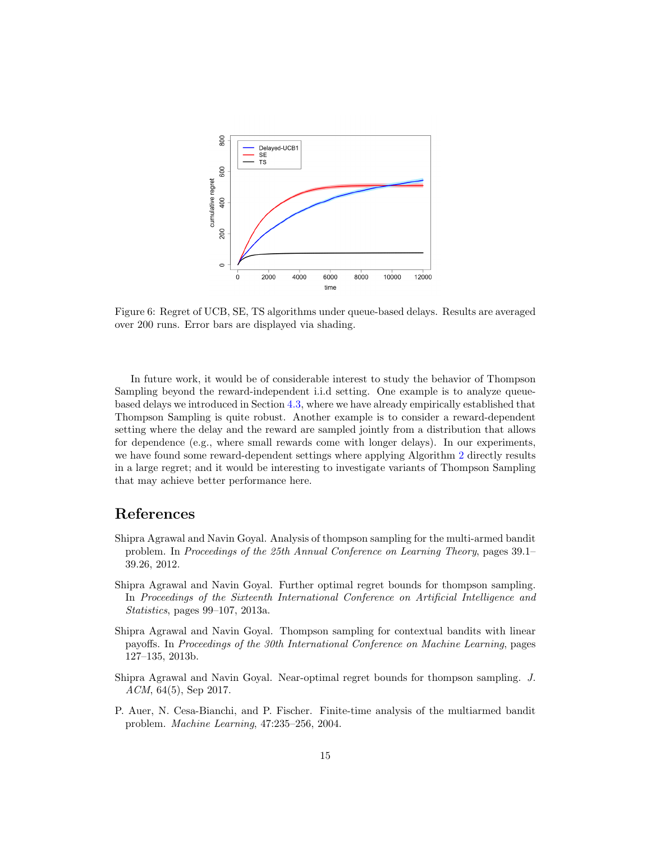<span id="page-14-5"></span>

Figure 6: Regret of UCB, SE, TS algorithms under queue-based delays. Results are averaged over 200 runs. Error bars are displayed via shading.

In future work, it would be of considerable interest to study the behavior of Thompson Sampling beyond the reward-independent i.i.d setting. One example is to analyze queuebased delays we introduced in Section [4.3,](#page-13-1) where we have already empirically established that Thompson Sampling is quite robust. Another example is to consider a reward-dependent setting where the delay and the reward are sampled jointly from a distribution that allows for dependence (e.g., where small rewards come with longer delays). In our experiments, we have found some reward-dependent settings where applying Algorithm [2](#page-3-0) directly results in a large regret; and it would be interesting to investigate variants of Thompson Sampling that may achieve better performance here.

## References

- <span id="page-14-1"></span>Shipra Agrawal and Navin Goyal. Analysis of thompson sampling for the multi-armed bandit problem. In Proceedings of the 25th Annual Conference on Learning Theory, pages 39.1– 39.26, 2012.
- <span id="page-14-2"></span>Shipra Agrawal and Navin Goyal. Further optimal regret bounds for thompson sampling. In Proceedings of the Sixteenth International Conference on Artificial Intelligence and Statistics, pages 99–107, 2013a.
- <span id="page-14-3"></span>Shipra Agrawal and Navin Goyal. Thompson sampling for contextual bandits with linear payoffs. In Proceedings of the 30th International Conference on Machine Learning, pages 127–135, 2013b.
- <span id="page-14-4"></span>Shipra Agrawal and Navin Goyal. Near-optimal regret bounds for thompson sampling. J. ACM, 64(5), Sep 2017.
- <span id="page-14-0"></span>P. Auer, N. Cesa-Bianchi, and P. Fischer. Finite-time analysis of the multiarmed bandit problem. Machine Learning, 47:235–256, 2004.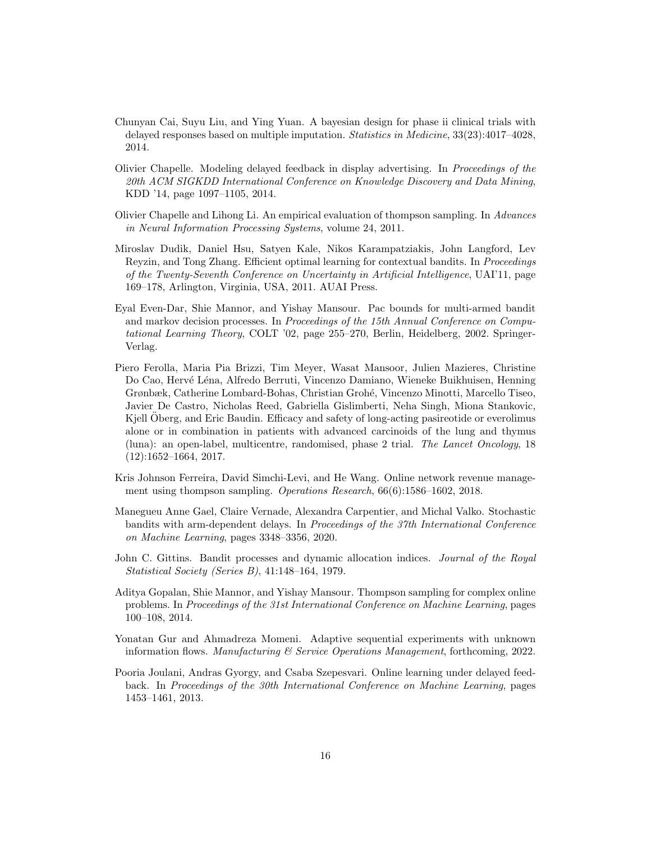- <span id="page-15-4"></span>Chunyan Cai, Suyu Liu, and Ying Yuan. A bayesian design for phase ii clinical trials with delayed responses based on multiple imputation. Statistics in Medicine, 33(23):4017–4028, 2014.
- <span id="page-15-5"></span>Olivier Chapelle. Modeling delayed feedback in display advertising. In Proceedings of the 20th ACM SIGKDD International Conference on Knowledge Discovery and Data Mining, KDD '14, page 1097–1105, 2014.
- <span id="page-15-0"></span>Olivier Chapelle and Lihong Li. An empirical evaluation of thompson sampling. In Advances in Neural Information Processing Systems, volume 24, 2011.
- <span id="page-15-6"></span>Miroslav Dudik, Daniel Hsu, Satyen Kale, Nikos Karampatziakis, John Langford, Lev Reyzin, and Tong Zhang. Efficient optimal learning for contextual bandits. In Proceedings of the Twenty-Seventh Conference on Uncertainty in Artificial Intelligence, UAI'11, page 169–178, Arlington, Virginia, USA, 2011. AUAI Press.
- <span id="page-15-2"></span>Eyal Even-Dar, Shie Mannor, and Yishay Mansour. Pac bounds for multi-armed bandit and markov decision processes. In Proceedings of the 15th Annual Conference on Computational Learning Theory, COLT '02, page 255–270, Berlin, Heidelberg, 2002. Springer-Verlag.
- <span id="page-15-3"></span>Piero Ferolla, Maria Pia Brizzi, Tim Meyer, Wasat Mansoor, Julien Mazieres, Christine Do Cao, Hervé Léna, Alfredo Berruti, Vincenzo Damiano, Wieneke Buikhuisen, Henning Grønbæk, Catherine Lombard-Bohas, Christian Groh´e, Vincenzo Minotti, Marcello Tiseo, Javier De Castro, Nicholas Reed, Gabriella Gislimberti, Neha Singh, Miona Stankovic, Kjell Oberg, and Eric Baudin. Efficacy and safety of long-acting pasireotide or everolimus alone or in combination in patients with advanced carcinoids of the lung and thymus (luna): an open-label, multicentre, randomised, phase 2 trial. The Lancet Oncology, 18  $(12):1652-1664, 2017.$
- <span id="page-15-10"></span>Kris Johnson Ferreira, David Simchi-Levi, and He Wang. Online network revenue management using thompson sampling. Operations Research, 66(6):1586–1602, 2018.
- <span id="page-15-8"></span>Manegueu Anne Gael, Claire Vernade, Alexandra Carpentier, and Michal Valko. Stochastic bandits with arm-dependent delays. In Proceedings of the 37th International Conference on Machine Learning, pages 3348–3356, 2020.
- <span id="page-15-1"></span>John C. Gittins. Bandit processes and dynamic allocation indices. Journal of the Royal Statistical Society (Series B), 41:148–164, 1979.
- <span id="page-15-9"></span>Aditya Gopalan, Shie Mannor, and Yishay Mansour. Thompson sampling for complex online problems. In Proceedings of the 31st International Conference on Machine Learning, pages 100–108, 2014.
- <span id="page-15-11"></span>Yonatan Gur and Ahmadreza Momeni. Adaptive sequential experiments with unknown information flows. Manufacturing  $\mathcal C$  Service Operations Management, forthcoming, 2022.
- <span id="page-15-7"></span>Pooria Joulani, Andras Gyorgy, and Csaba Szepesvari. Online learning under delayed feedback. In Proceedings of the 30th International Conference on Machine Learning, pages 1453–1461, 2013.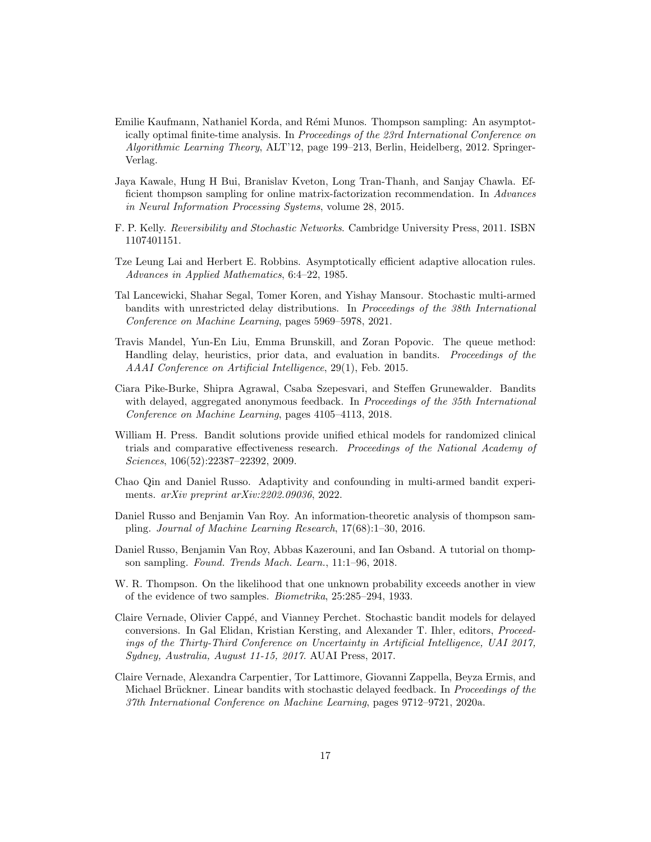- <span id="page-16-9"></span>Emilie Kaufmann, Nathaniel Korda, and R´emi Munos. Thompson sampling: An asymptotically optimal finite-time analysis. In Proceedings of the 23rd International Conference on Algorithmic Learning Theory, ALT'12, page 199–213, Berlin, Heidelberg, 2012. Springer-Verlag.
- <span id="page-16-11"></span>Jaya Kawale, Hung H Bui, Branislav Kveton, Long Tran-Thanh, and Sanjay Chawla. Efficient thompson sampling for online matrix-factorization recommendation. In Advances in Neural Information Processing Systems, volume 28, 2015.
- <span id="page-16-13"></span>F. P. Kelly. Reversibility and Stochastic Networks. Cambridge University Press, 2011. ISBN 1107401151.
- <span id="page-16-1"></span>Tze Leung Lai and Herbert E. Robbins. Asymptotically efficient adaptive allocation rules. Advances in Applied Mathematics, 6:4–22, 1985.
- <span id="page-16-6"></span>Tal Lancewicki, Shahar Segal, Tomer Koren, and Yishay Mansour. Stochastic multi-armed bandits with unrestricted delay distributions. In Proceedings of the 38th International Conference on Machine Learning, pages 5969–5978, 2021.
- <span id="page-16-2"></span>Travis Mandel, Yun-En Liu, Emma Brunskill, and Zoran Popovic. The queue method: Handling delay, heuristics, prior data, and evaluation in bandits. Proceedings of the AAAI Conference on Artificial Intelligence, 29(1), Feb. 2015.
- <span id="page-16-4"></span>Ciara Pike-Burke, Shipra Agrawal, Csaba Szepesvari, and Steffen Grunewalder. Bandits with delayed, aggregated anonymous feedback. In Proceedings of the 35th International Conference on Machine Learning, pages 4105–4113, 2018.
- <span id="page-16-0"></span>William H. Press. Bandit solutions provide unified ethical models for randomized clinical trials and comparative effectiveness research. Proceedings of the National Academy of Sciences, 106(52):22387–22392, 2009.
- <span id="page-16-12"></span>Chao Qin and Daniel Russo. Adaptivity and confounding in multi-armed bandit experiments. arXiv preprint arXiv:2202.09036, 2022.
- <span id="page-16-10"></span>Daniel Russo and Benjamin Van Roy. An information-theoretic analysis of thompson sampling. Journal of Machine Learning Research, 17(68):1–30, 2016.
- <span id="page-16-8"></span>Daniel Russo, Benjamin Van Roy, Abbas Kazerouni, and Ian Osband. A tutorial on thompson sampling. Found. Trends Mach. Learn., 11:1–96, 2018.
- <span id="page-16-7"></span>W. R. Thompson. On the likelihood that one unknown probability exceeds another in view of the evidence of two samples. Biometrika, 25:285–294, 1933.
- <span id="page-16-3"></span>Claire Vernade, Olivier Cappé, and Vianney Perchet. Stochastic bandit models for delayed conversions. In Gal Elidan, Kristian Kersting, and Alexander T. Ihler, editors, Proceedings of the Thirty-Third Conference on Uncertainty in Artificial Intelligence, UAI 2017, Sydney, Australia, August 11-15, 2017. AUAI Press, 2017.
- <span id="page-16-5"></span>Claire Vernade, Alexandra Carpentier, Tor Lattimore, Giovanni Zappella, Beyza Ermis, and Michael Brückner. Linear bandits with stochastic delayed feedback. In *Proceedings of the* 37th International Conference on Machine Learning, pages 9712–9721, 2020a.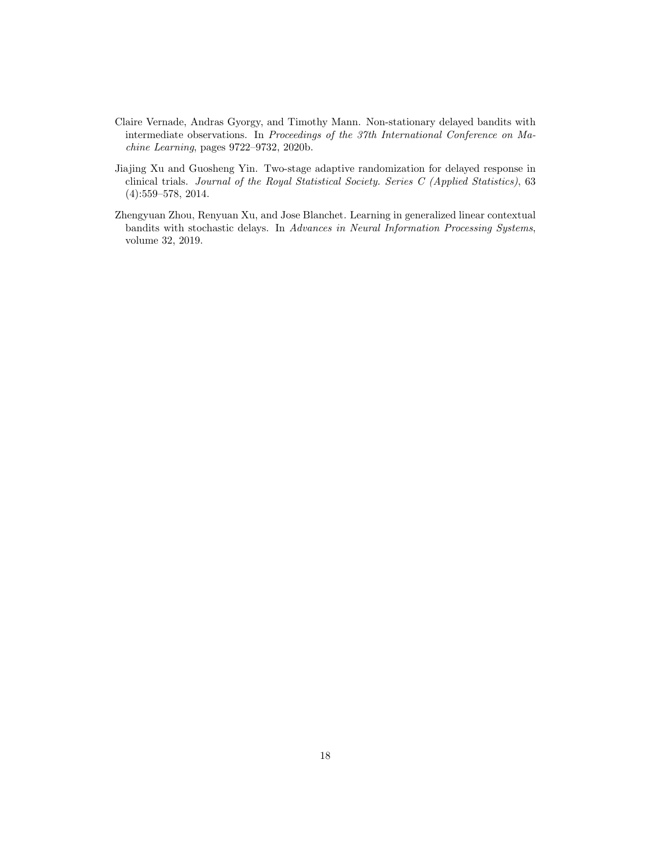- <span id="page-17-2"></span>Claire Vernade, Andras Gyorgy, and Timothy Mann. Non-stationary delayed bandits with intermediate observations. In Proceedings of the 37th International Conference on Machine Learning, pages 9722–9732, 2020b.
- <span id="page-17-0"></span>Jiajing Xu and Guosheng Yin. Two-stage adaptive randomization for delayed response in clinical trials. Journal of the Royal Statistical Society. Series C (Applied Statistics), 63 (4):559–578, 2014.
- <span id="page-17-1"></span>Zhengyuan Zhou, Renyuan Xu, and Jose Blanchet. Learning in generalized linear contextual bandits with stochastic delays. In Advances in Neural Information Processing Systems, volume 32, 2019.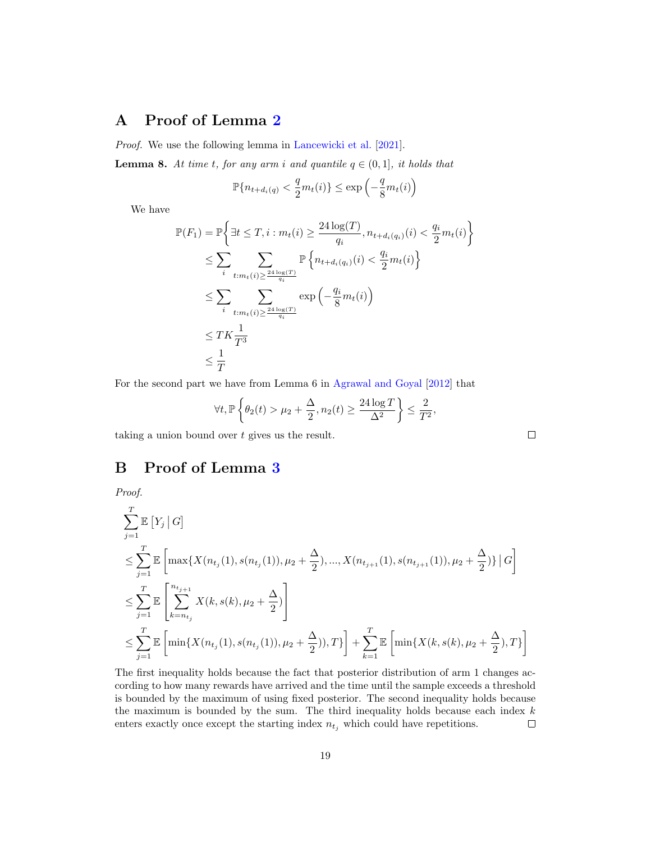# <span id="page-18-0"></span>A Proof of Lemma [2](#page-5-3)

Proof. We use the following lemma in [Lancewicki et al.](#page-16-6) [\[2021\]](#page-16-6).

**Lemma 8.** At time t, for any arm i and quantile  $q \in (0,1]$ , it holds that

$$
\mathbb{P}\{n_{t+d_i(q)} < \frac{q}{2}m_t(i)\} \le \exp\left(-\frac{q}{8}m_t(i)\right)
$$

We have

$$
\mathbb{P}(F_1) = \mathbb{P}\left\{\exists t \le T, i : m_t(i) \ge \frac{24\log(T)}{q_i}, n_{t+d_i(q_i)}(i) < \frac{q_i}{2}m_t(i)\right\}
$$
\n
$$
\le \sum_{i} \sum_{t:m_t(i) \ge \frac{24\log(T)}{q_i}} \mathbb{P}\left\{n_{t+d_i(q_i)}(i) < \frac{q_i}{2}m_t(i)\right\}
$$
\n
$$
\le \sum_{i} \sum_{t:m_t(i) \ge \frac{24\log(T)}{q_i}} \exp\left(-\frac{q_i}{8}m_t(i)\right)
$$
\n
$$
\le T K \frac{1}{T^3}
$$
\n
$$
\le \frac{1}{T}
$$

For the second part we have from Lemma 6 in [Agrawal and Goyal](#page-14-1) [\[2012\]](#page-14-1) that

$$
\forall t, \mathbb{P}\left\{\theta_2(t) > \mu_2 + \frac{\Delta}{2}, n_2(t) \ge \frac{24\log T}{\Delta^2}\right\} \le \frac{2}{T^2},
$$

taking a union bound over t gives us the result.

# <span id="page-18-1"></span>B Proof of Lemma [3](#page-6-2)

Proof.

$$
\sum_{j=1}^{T} \mathbb{E}\left[Y_{j} | G\right]
$$
\n
$$
\leq \sum_{j=1}^{T} \mathbb{E}\left[\max\{X(n_{t_{j}}(1), s(n_{t_{j}}(1)), \mu_{2} + \frac{\Delta}{2}), ..., X(n_{t_{j+1}}(1), s(n_{t_{j+1}}(1)), \mu_{2} + \frac{\Delta}{2})\} | G\right]
$$
\n
$$
\leq \sum_{j=1}^{T} \mathbb{E}\left[\sum_{k=n_{t_{j}}}^{n_{t_{j+1}}} X(k, s(k), \mu_{2} + \frac{\Delta}{2})\right]
$$
\n
$$
\leq \sum_{j=1}^{T} \mathbb{E}\left[\min\{X(n_{t_{j}}(1), s(n_{t_{j}}(1)), \mu_{2} + \frac{\Delta}{2}), T\}\right] + \sum_{k=1}^{T} \mathbb{E}\left[\min\{X(k, s(k), \mu_{2} + \frac{\Delta}{2}), T\}\right]
$$

The first inequality holds because the fact that posterior distribution of arm 1 changes according to how many rewards have arrived and the time until the sample exceeds a threshold is bounded by the maximum of using fixed posterior. The second inequality holds because the maximum is bounded by the sum. The third inequality holds because each index  $k$ enters exactly once except the starting index  $n_{t_i}$  which could have repetitions.  $\Box$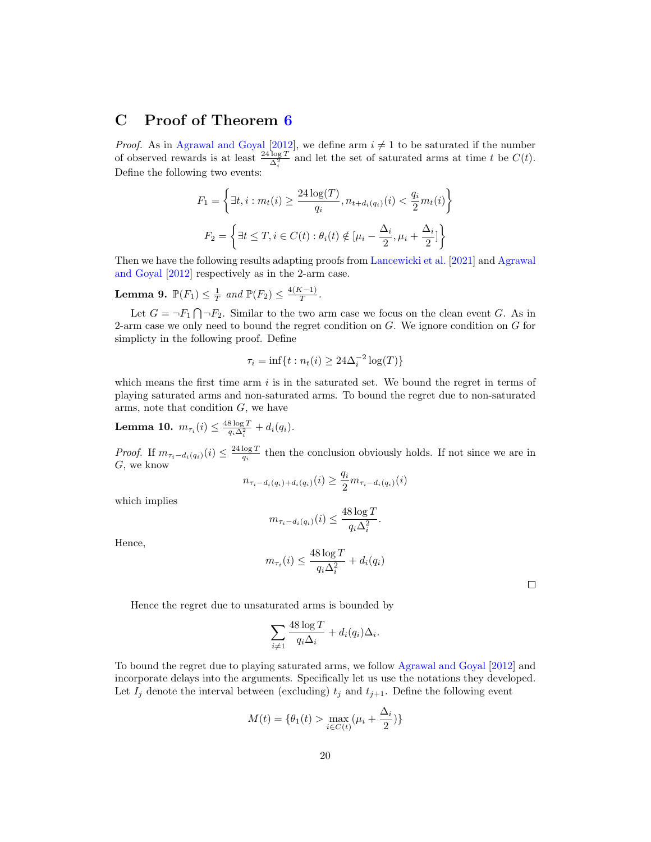## <span id="page-19-0"></span>C Proof of Theorem [6](#page-7-0)

*Proof.* As in [Agrawal and Goyal](#page-14-1) [\[2012\]](#page-14-1), we define arm  $i \neq 1$  to be saturated if the number of observed rewards is at least  $\frac{24 \log T}{\Delta_i^2}$  and let the set of saturated arms at time t be  $C(t)$ . Define the following two events:

$$
F_1 = \left\{ \exists t, i : m_t(i) \ge \frac{24 \log(T)}{q_i}, n_{t+d_i(q_i)}(i) < \frac{q_i}{2} m_t(i) \right\}
$$
\n
$$
F_2 = \left\{ \exists t \le T, i \in C(t) : \theta_i(t) \notin \left[ \mu_i - \frac{\Delta_i}{2}, \mu_i + \frac{\Delta_i}{2} \right] \right\}
$$

Then we have the following results adapting proofs from [Lancewicki et al.](#page-16-6) [\[2021\]](#page-16-6) and [Agrawal](#page-14-1) [and Goyal](#page-14-1) [\[2012\]](#page-14-1) respectively as in the 2-arm case.

**Lemma 9.**  $\mathbb{P}(F_1) \leq \frac{1}{T}$  and  $\mathbb{P}(F_2) \leq \frac{4(K-1)}{T}$  $\frac{(N-1)}{T}$ .

Let  $G = \neg F_1 \bigcap \neg F_2$ . Similar to the two arm case we focus on the clean event G. As in 2-arm case we only need to bound the regret condition on  $G$ . We ignore condition on  $G$  for simplicty in the following proof. Define

$$
\tau_i = \inf\{t : n_t(i) \geq 24\Delta_i^{-2} \log(T)\}\
$$

which means the first time arm  $i$  is in the saturated set. We bound the regret in terms of playing saturated arms and non-saturated arms. To bound the regret due to non-saturated arms, note that condition  $G$ , we have

**Lemma 10.**  $m_{\tau_i}(i) \leq \frac{48 \log T}{q_i \Delta_i^2} + d_i(q_i)$ .

*Proof.* If  $m_{\tau_i-d_i(q_i)}(i) \leq \frac{24 \log T}{q_i}$  then the conclusion obviously holds. If not since we are in G, we know

$$
n_{\tau_i - d_i(q_i) + d_i(q_i)}(i) \ge \frac{q_i}{2} m_{\tau_i - d_i(q_i)}(i)
$$

which implies

$$
m_{\tau_i - d_i(q_i)}(i) \le \frac{48 \log T}{q_i \Delta_i^2}.
$$

Hence,

$$
m_{\tau_i}(i) \le \frac{48 \log T}{q_i \Delta_i^2} + d_i(q_i)
$$

 $\Box$ 

Hence the regret due to unsaturated arms is bounded by

$$
\sum_{i \neq 1} \frac{48 \log T}{q_i \Delta_i} + d_i(q_i) \Delta_i.
$$

To bound the regret due to playing saturated arms, we follow [Agrawal and Goyal](#page-14-1) [\[2012\]](#page-14-1) and incorporate delays into the arguments. Specifically let us use the notations they developed. Let  $I_j$  denote the interval between (excluding)  $t_j$  and  $t_{j+1}$ . Define the following event

$$
M(t) = \{ \theta_1(t) > \max_{i \in C(t)} (\mu_i + \frac{\Delta_i}{2}) \}
$$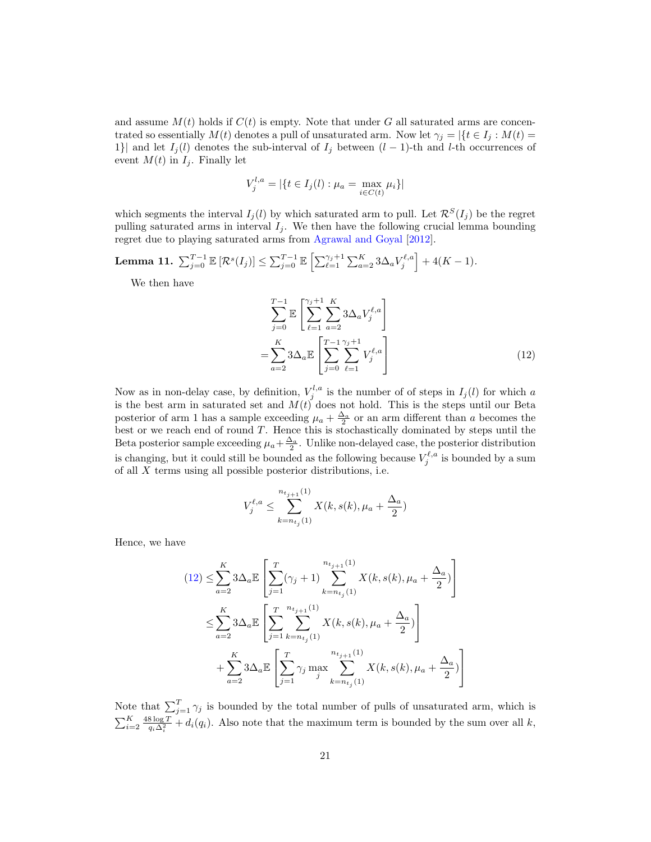and assume  $M(t)$  holds if  $C(t)$  is empty. Note that under G all saturated arms are concentrated so essentially  $M(t)$  denotes a pull of unsaturated arm. Now let  $\gamma_j = |\{t \in I_j : M(t) =$ 1}| and let  $I_j(l)$  denotes the sub-interval of  $I_j$  between  $(l-1)$ -th and l-th occurrences of event  $M(t)$  in  $I_j$ . Finally let

$$
V_j^{l,a} = |\{t \in I_j(l) : \mu_a = \max_{i \in C(t)} \mu_i\}|
$$

which segments the interval  $I_i(l)$  by which saturated arm to pull. Let  $\mathcal{R}^S(I_i)$  be the regret pulling saturated arms in interval  $I_i$ . We then have the following crucial lemma bounding regret due to playing saturated arms from [Agrawal and Goyal](#page-14-1) [\[2012\]](#page-14-1).

# Lemma 11.  $\sum_{j=0}^{T-1} \mathbb{E} \left[ \mathcal{R}^s(I_j) \right] \leq \sum_{j=0}^{T-1} \mathbb{E} \left[ \sum_{\ell=1}^{\gamma_j+1} \sum_{a=2}^K 3 \Delta_a V_j^{\ell, a} \right] + 4(K-1).$

We then have

<span id="page-20-0"></span>
$$
\sum_{j=0}^{T-1} \mathbb{E}\left[\sum_{\ell=1}^{\gamma_j+1} \sum_{a=2}^{K} 3\Delta_a V_j^{\ell,a}\right]
$$
  
= 
$$
\sum_{a=2}^{K} 3\Delta_a \mathbb{E}\left[\sum_{j=0}^{T-1} \sum_{\ell=1}^{\gamma_j+1} V_j^{\ell,a}\right]
$$
 (12)

Now as in non-delay case, by definition,  $V_j^{l,a}$  is the number of of steps in  $I_j(l)$  for which a is the best arm in saturated set and  $M(t)$  does not hold. This is the steps until our Beta posterior of arm 1 has a sample exceeding  $\mu_a + \frac{\Delta_a}{2}$  or an arm different than a becomes the best or we reach end of round T. Hence this is stochastically dominated by steps until the Beta posterior sample exceeding  $\mu_a + \frac{\Delta_a}{2}$ . Unlike non-delayed case, the posterior distribution is changing, but it could still be bounded as the following because  $V_j^{\ell,a}$  is bounded by a sum of all  $X$  terms using all possible posterior distributions, i.e.

$$
V_j^{\ell,a} \le \sum_{k=n_{t_j}(1)}^{n_{t_{j+1}}(1)} X(k, s(k), \mu_a + \frac{\Delta_a}{2})
$$

Hence, we have

$$
(12) \leq \sum_{a=2}^{K} 3\Delta_a \mathbb{E} \left[ \sum_{j=1}^{T} (\gamma_j + 1) \sum_{k=n_{t_j}(1)}^{n_{t_{j+1}}(1)} X(k, s(k), \mu_a + \frac{\Delta_a}{2}) \right]
$$
  

$$
\leq \sum_{a=2}^{K} 3\Delta_a \mathbb{E} \left[ \sum_{j=1}^{T} \sum_{k=n_{t_j}(1)}^{n_{t_{j+1}}(1)} X(k, s(k), \mu_a + \frac{\Delta_a}{2}) \right]
$$
  

$$
+ \sum_{a=2}^{K} 3\Delta_a \mathbb{E} \left[ \sum_{j=1}^{T} \gamma_j \max_{j} \sum_{k=n_{t_j}(1)}^{n_{t_{j+1}}(1)} X(k, s(k), \mu_a + \frac{\Delta_a}{2}) \right]
$$

Note that  $\sum_{j=1}^{T} \gamma_j$  is bounded by the total number of pulls of unsaturated arm, which is  $\sum_{i=2}^{K} \frac{48 \log T}{q_i \Delta_i^2} + d_i(q_i)$ . Also note that the maximum term is bounded by the sum over all k,